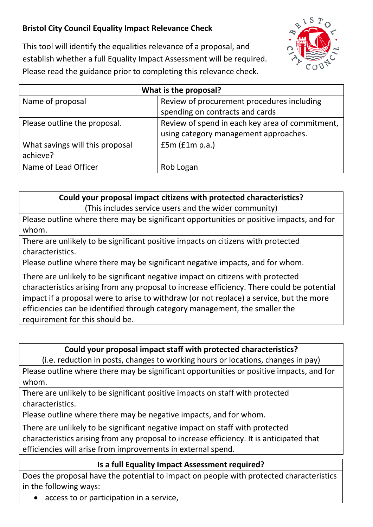## **Bristol City Council Equality Impact Relevance Check**



This tool will identify the equalities relevance of a proposal, and establish whether a full Equality Impact Assessment will be required. Please read the guidance prior to completing this relevance check.

| What is the proposal?           |                                                 |
|---------------------------------|-------------------------------------------------|
| Name of proposal                | Review of procurement procedures including      |
|                                 | spending on contracts and cards                 |
| Please outline the proposal.    | Review of spend in each key area of commitment, |
|                                 | using category management approaches.           |
| What savings will this proposal | f5m(f1m p.a.)                                   |
| achieve?                        |                                                 |
| Name of Lead Officer            | Rob Logan                                       |

**Could your proposal impact citizens with protected characteristics?** (This includes service users and the wider community)

Please outline where there may be significant opportunities or positive impacts, and for whom.

There are unlikely to be significant positive impacts on citizens with protected characteristics.

Please outline where there may be significant negative impacts, and for whom.

There are unlikely to be significant negative impact on citizens with protected characteristics arising from any proposal to increase efficiency. There could be potential impact if a proposal were to arise to withdraw (or not replace) a service, but the more efficiencies can be identified through category management, the smaller the requirement for this should be.

## **Could your proposal impact staff with protected characteristics?**

(i.e. reduction in posts, changes to working hours or locations, changes in pay)

Please outline where there may be significant opportunities or positive impacts, and for whom.

There are unlikely to be significant positive impacts on staff with protected characteristics.

Please outline where there may be negative impacts, and for whom.

There are unlikely to be significant negative impact on staff with protected characteristics arising from any proposal to increase efficiency. It is anticipated that efficiencies will arise from improvements in external spend.

## **Is a full Equality Impact Assessment required?**

Does the proposal have the potential to impact on people with protected characteristics in the following ways:

• access to or participation in a service,